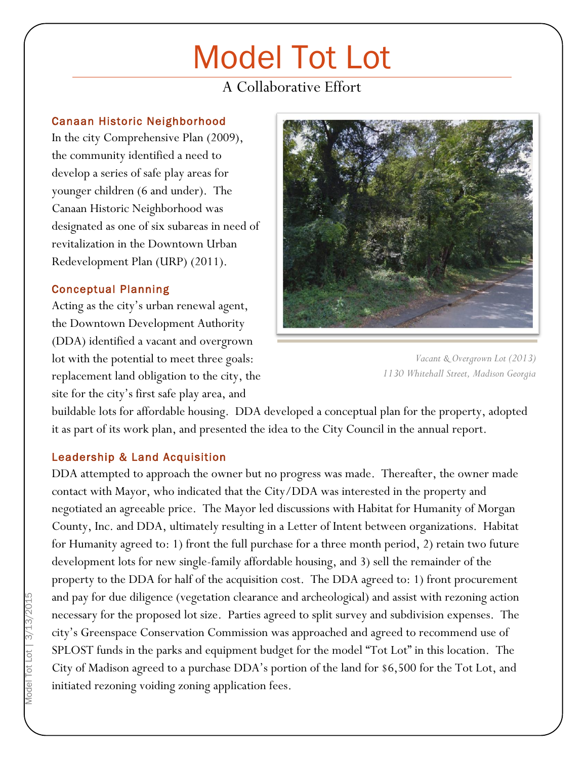# Model Tot Lot

## A Collaborative Effort

#### Canaan Historic Neighborhood

 $\overline{a}$ 

In the city Comprehensive Plan (2009), the community identified a need to develop a series of safe play areas for younger children (6 and under). The Canaan Historic Neighborhood was designated as one of six subareas in need of revitalization in the Downtown Urban Redevelopment Plan (URP) (2011).

### Conceptual Planning

Acting as the city's urban renewal agent, the Downtown Development Authority (DDA) identified a vacant and overgrown lot with the potential to meet three goals: replacement land obligation to the city, the site for the city's first safe play area, and



*Vacant & Overgrown Lot (2013) 1130 Whitehall Street, Madison Georgia*

buildable lots for affordable housing. DDA developed a conceptual plan for the property, adopted it as part of its work plan, and presented the idea to the City Council in the annual report.

### Leadership & Land Acquisition

DDA attempted to approach the owner but no progress was made. Thereafter, the owner made contact with Mayor, who indicated that the City/DDA was interested in the property and negotiated an agreeable price. The Mayor led discussions with Habitat for Humanity of Morgan County, Inc. and DDA, ultimately resulting in a Letter of Intent between organizations. Habitat for Humanity agreed to: 1) front the full purchase for a three month period, 2) retain two future development lots for new single-family affordable housing, and 3) sell the remainder of the property to the DDA for half of the acquisition cost. The DDA agreed to: 1) front procurement and pay for due diligence (vegetation clearance and archeological) and assist with rezoning action necessary for the proposed lot size. Parties agreed to split survey and subdivision expenses. The city's Greenspace Conservation Commission was approached and agreed to recommend use of SPLOST funds in the parks and equipment budget for the model "Tot Lot" in this location. The City of Madison agreed to a purchase DDA's portion of the land for \$6,500 for the Tot Lot, and initiated rezoning voiding zoning application fees.